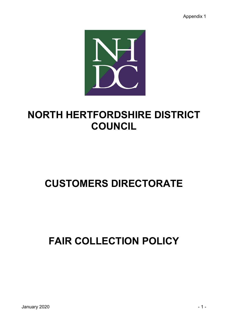Appendix 1



# **NORTH HERTFORDSHIRE DISTRICT COUNCIL**

# **CUSTOMERS DIRECTORATE**

# **FAIR COLLECTION POLICY**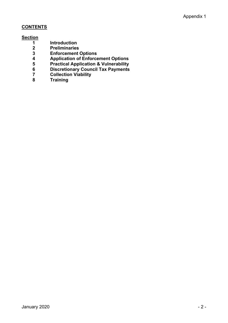# **CONTENTS**

# **Section**

- **Introduction**
- **Preliminaries**
- **Enforcement Options**
- **Application of Enforcement Options**
- **Practical Application & Vulnerability**
- **Discretionary Council Tax Payments**
- **Collection Viability**
- **Training**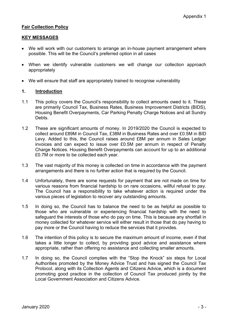# **Fair Collection Policy**

# **KEY MESSAGES**

- We will work with our customers to arrange an in-house payment arrangement where possible. This will be the Council's preferred option in all cases
- When we identify vulnerable customers we will change our collection approach appropriately
- We will ensure that staff are appropriately trained to recognise vulnerability

# **1. Introduction**

- 1.1 This policy covers the Council's responsibility to collect amounts owed to it. These are primarily Council Tax, Business Rates, Business Improvement Districts (BIDS), Housing Benefit Overpayments, Car Parking Penalty Charge Notices and all Sundry Debts.
- 1.2 These are significant amounts of money. In 2019/2020 the Council is expected to collect around £89M in Council Tax, £38M in Business Rates and over £0.5M in BID Levy. Added to this, the Council raises around £8M per annum in Sales Ledger invoices and can expect to issue over £0.5M per annum in respect of Penalty Charge Notices. Housing Benefit Overpayments can account for up to an additional £0.7M or more to be collected each year.
- 1.3 The vast majority of this money is collected on time in accordance with the payment arrangements and there is no further action that is required by the Council.
- 1.4 Unfortunately, there are some requests for payment that are not made on time for various reasons from financial hardship to on rare occasions, willful refusal to pay. The Council has a responsibility to take whatever action is required under the various pieces of legislation to recover any outstanding amounts.
- 1.5 In doing so, the Council has to balance the need to be as helpful as possible to those who are vulnerable or experiencing financial hardship with the need to safeguard the interests of those who do pay on time. This is because any shortfall in money collected for whatever service will either result in those that do pay having to pay more or the Council having to reduce the services that it provides.
- 1.6 The intention of this policy is to secure the maximum amount of income, even if that takes a little longer to collect, by providing good advice and assistance where appropriate, rather than offering no assistance and collecting smaller amounts.
- 1.7 In doing so, the Council complies with the "Stop the Knock" six steps for Local Authorities promoted by the Money Advice Trust and has signed the Council Tax Protocol, along with its Collection Agents and Citizens Advice, which is a document promoting good practice in the collection of Council Tax produced jointly by the Local Government Association and Citizens Advice.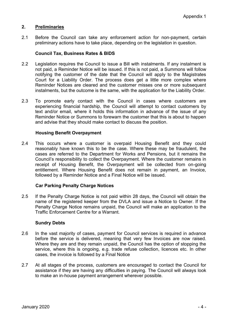# **2. Preliminaries**

2.1 Before the Council can take any enforcement action for non-payment, certain preliminary actions have to take place, depending on the legislation in question.

#### **Council Tax, Business Rates & BIDS**

- 2.2 Legislation requires the Council to issue a Bill with instalments. If any instalment is not paid, a Reminder Notice will be issued. If this is not paid, a Summons will follow notifying the customer of the date that the Council will apply to the Magistrates Court for a Liability Order. The process does get a little more complex where Reminder Notices are cleared and the customer misses one or more subsequent instalments, but the outcome is the same, with the application for the Liability Order.
- 2.3 To promote early contact with the Council in cases where customers are experiencing financial hardship, the Council will attempt to contact customers by text and/or email, where it holds this information in advance of the issue of any Reminder Notice or Summons to forewarn the customer that this is about to happen and advise that they should make contact to discuss the position.

# **Housing Benefit Overpayment**

2.4 This occurs where a customer is overpaid Housing Benefit and they could reasonably have known this to be the case. Where these may be fraudulent, the cases are referred to the Department for Works and Pensions, but it remains the Council's responsibility to collect the Overpayment. Where the customer remains in receipt of Housing Benefit, the Overpayment will be collected from on-going entitlement. Where Housing Benefit does not remain in payment, an Invoice, followed by a Reminder Notice and a Final Notice will be issued.

#### **Car Parking Penalty Charge Notices**

2.5 If the Penalty Charge Notice is not paid within 28 days, the Council will obtain the name of the registered keeper from the DVLA and issue a Notice to Owner. If the Penalty Charge Notice remains unpaid, the Council will make an application to the Traffic Enforcement Centre for a Warrant.

#### **Sundry Debts**

- 2.6 In the vast majority of cases, payment for Council services is required in advance before the service is delivered, meaning that very few Invoices are now raised. Where they are and they remain unpaid, the Council has the option of stopping the service, where this is ongoing, e.g. trade refuse collection, licences etc. In other cases, the invoice is followed by a Final Notice
- 2.7 At all stages of the process, customers are encouraged to contact the Council for assistance if they are having any difficulties in paying. The Council will always look to make an in-house payment arrangement wherever possible.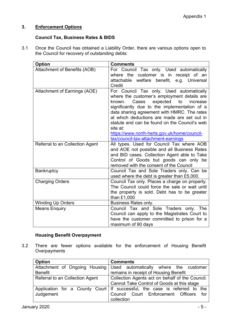# **3. Enforcement Options**

# **Council Tax, Business Rates & BIDS**

3.1 Once the Council has obtained a Liability Order, there are various options open to the Council for recovery of outstanding debts:

| <b>Option</b>                   | <b>Comments</b>                                                                                                                                                                                                                                                                                                                                                                                                                            |
|---------------------------------|--------------------------------------------------------------------------------------------------------------------------------------------------------------------------------------------------------------------------------------------------------------------------------------------------------------------------------------------------------------------------------------------------------------------------------------------|
| Attachment of Benefits (AOB)    | For Council Tax only. Used automatically<br>where the customer is in receipt of an<br>welfare benefit,<br>attachable<br>e.g. Universal<br>Credit                                                                                                                                                                                                                                                                                           |
| Attachment of Earnings (AOE)    | For Council Tax only. Used automatically<br>where the customer's employment details are<br>expected<br>Cases<br>known.<br>to<br>increase<br>significantly due to the implementation of a<br>data sharing agreement with HMRC. The rates<br>at which deductions are made are set out in<br>statute and can be found on the Council's web<br>site at:<br>https://www.north-herts.gov.uk/home/council-<br>tax/council-tax-attachment-earnings |
| Referral to an Collection Agent | All types. Used for Council Tax where AOB<br>and AOE not possible and all Business Rates<br>and BID cases. Collection Agent able to Take<br>Control of Goods but goods can only be<br>removed with the consent of the Council                                                                                                                                                                                                              |
| <b>Bankruptcy</b>               | Council Tax and Sole Traders only. Can be<br>used where the debt is greater than £5,000.                                                                                                                                                                                                                                                                                                                                                   |
| <b>Charging Orders</b>          | Council Tax only. Places a charge on property.<br>The Council could force the sale or wait until<br>the property is sold. Debt has to be greater<br>than £1,000                                                                                                                                                                                                                                                                            |
| <b>Winding Up Orders</b>        | <b>Business Rates only.</b>                                                                                                                                                                                                                                                                                                                                                                                                                |
| <b>Means Enquiry</b>            | Council Tax and Sole Traders only.<br>The<br>Council can apply to the Magistrates Court to<br>have the customer committed to prison for a<br>maximum of 90 days                                                                                                                                                                                                                                                                            |

# **Housing Benefit Overpayment**

3.2 There are fewer options available for the enforcement of Housing Benefit **Overpayments** 

| <b>Option</b>                   | <b>Comments</b>                                                             |
|---------------------------------|-----------------------------------------------------------------------------|
| Attachment of Ongoing Housing   | Used automatically where the customer                                       |
| <b>Benefit</b>                  | remains in receipt of Housing Benefit                                       |
| Referral to an Collection Agent | Collection Agents act on behalf of the Council.                             |
|                                 | Cannot Take Control of Goods at this stage                                  |
|                                 | Application for a County Court   If successful, the case is referred to the |
| Judgement                       | Council Court Enforcement Officers<br>for f                                 |
|                                 | collection                                                                  |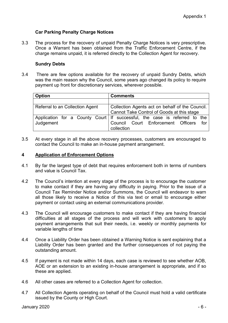# **Car Parking Penalty Charge Notices**

3.3 The process for the recovery of unpaid Penalty Charge Notices is very prescriptive. Once a Warrant has been obtained from the Traffic Enforcement Centre, if the charge remains unpaid, it is referred directly to the Collection Agent for recovery.

# **Sundry Debts**

3.4 There are few options available for the recovery of unpaid Sundry Debts, which was the main reason why the Council, some years ago changed its policy to require payment up front for discretionary services, wherever possible.

| <b>Option</b>                   | <b>Comments</b>                                                                                   |
|---------------------------------|---------------------------------------------------------------------------------------------------|
|                                 |                                                                                                   |
| Referral to an Collection Agent | Collection Agents act on behalf of the Council.<br>Cannot Take Control of Goods at this stage     |
|                                 | Application for a County Court If successful, the case is referred to the Judgement<br>collection |

3.5 At every stage in all the above recovery processes, customers are encouraged to contact the Council to make an in-house payment arrangement.

# **4 Application of Enforcement Options**

- 4.1 By far the largest type of debt that requires enforcement both in terms of numbers and value is Council Tax.
- 4.2 The Council's intention at every stage of the process is to encourage the customer to make contact if they are having any difficulty in paying. Prior to the issue of a Council Tax Reminder Notice and/or Summons, the Council will endeavor to warn all those likely to receive a Notice of this via text or email to encourage either payment or contact using an external communications provider.
- 4.3 The Council will encourage customers to make contact if they are having financial difficulties at all stages of the process and will work with customers to apply payment arrangements that suit their needs, i.e. weekly or monthly payments for variable lengths of time
- 4.4 Once a Liability Order has been obtained a Warning Notice is sent explaining that a Liability Order has been granted and the further consequences of not paying the outstanding amount.
- 4.5 If payment is not made within 14 days, each case is reviewed to see whether AOB, AOE or an extension to an existing in-house arrangement is appropriate, and if so these are applied.
- 4.6 All other cases are referred to a Collection Agent for collection.
- 4.7 All Collection Agents operating on behalf of the Council must hold a valid certificate issued by the County or High Court.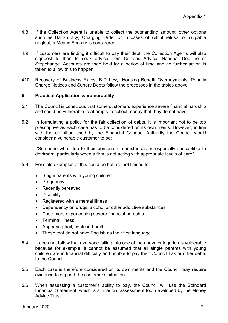- 4.8 If the Collection Agent is unable to collect the outstanding amount, other options such as Bankruptcy, Charging Order or in cases of willful refusal or culpable neglect, a Means Enquiry is considered.
- 4.9 If customers are finding it difficult to pay their debt, the Collection Agents will also signpost to then to seek advice from Citizens Advice, National Debtline or Stepchange. Accounts are then held for a period of time and no further action is taken to allow this to happen.
- 410 Recovery of Business Rates, BID Levy, Housing Benefit Overpayments, Penalty Charge Notices and Sundry Debts follow the processes in the tables above.

# **5 Practical Application & Vulnerability**

- 5.1 The Council is conscious that some customers experience severe financial hardship and could be vulnerable to attempts to collect money that they do not have.
- 5.2 In formulating a policy for the fair collection of debts, it is important not to be too prescriptive as each case has to be considered on its own merits. However, in line with the definition used by the Financial Conduct Authority the Council would consider a vulnerable customer to be:

"Someone who, due to their personal circumstances, is especially susceptible to detriment, particularly when a firm is not acting with appropriate levels of care"

- 5.3 Possible examples of this could be but are not limited to:
	- Single parents with young children
	- Pregnancy
	- Recently bereaved
	- Disability
	- Registered with a mental illness
	- Dependency on drugs, alcohol or other addictive substances
	- Customers experiencing severe financial hardship
	- Terminal illness
	- Appearing frail, confused or ill
	- Those that do not have English as their first language
- 5.4 It does not follow that everyone falling into one of the above categories is vulnerable because for example, it cannot be assumed that all single parents with young children are in financial difficulty and unable to pay their Council Tax or other debts to the Council.
- 5.5 Each case is therefore considered on its own merits and the Council may require evidence to support the customer's situation.
- 5.6 When assessing a customer's ability to pay, the Council will use the Standard Financial Statement, which is a financial assessment tool developed by the Money Advice Trust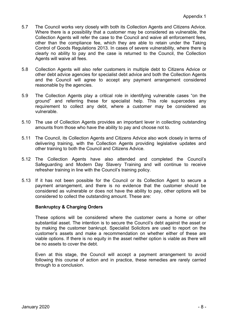- 5.7 The Council works very closely with both its Collection Agents and Citizens Advice. Where there is a possibility that a customer may be considered as vulnerable, the Collection Agents will refer the case to the Council and waive all enforcement fees, other than the compliance fee, which they are able to retain under the Taking Control of Goods Regulations 2013. In cases of severe vulnerability, where there is clearly no ability to pay and the case is returned to the Council, the Collection Agents will waive all fees.
- 5.8 Collection Agents will also refer customers in multiple debt to Citizens Advice or other debt advice agencies for specialist debt advice and both the Collection Agents and the Council will agree to accept any payment arrangement considered reasonable by the agencies.
- 5.9 The Collection Agents play a critical role in identifying vulnerable cases "on the ground" and referring these for specialist help. This role supercedes any requirement to collect any debt, where a customer may be considered as vulnerable.
- 5.10 The use of Collection Agents provides an important lever in collecting outstanding amounts from those who have the ability to pay and choose not to.
- 5.11 The Council, its Collection Agents and Citizens Advice also work closely in terms of delivering training, with the Collection Agents providing legislative updates and other training to both the Council and Citizens Advice.
- 5.12 The Collection Agents have also attended and completed the Council's Safeguarding and Modern Day Slavery Training and will continue to receive refresher training in line with the Council's training policy.
- 5.13 If it has not been possible for the Council or its Collection Agent to secure a payment arrangement, and there is no evidence that the customer should be considered as vulnerable or does not have the ability to pay, other options will be considered to collect the outstanding amount. These are:

# **Bankruptcy & Charging Orders**

These options will be considered where the customer owns a home or other substantial asset. The intention is to secure the Council's debt against the asset or by making the customer bankrupt. Specialist Solicitors are used to report on the customer's assets and make a recommendation on whether either of these are viable options. If there is no equity in the asset neither option is viable as there will be no assets to cover the debt.

Even at this stage, the Council will accept a payment arrangement to avoid following this course of action and in practice, these remedies are rarely carried through to a conclusion.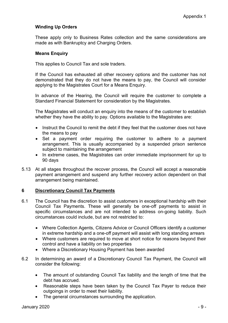# **Winding Up Orders**

These apply only to Business Rates collection and the same considerations are made as with Bankruptcy and Charging Orders.

# **Means Enquiry**

This applies to Council Tax and sole traders.

If the Council has exhausted all other recovery options and the customer has not demonstrated that they do not have the means to pay, the Council will consider applying to the Magistrates Court for a Means Enquiry.

In advance of the Hearing, the Council will require the customer to complete a Standard Financial Statement for consideration by the Magistrates.

The Magistrates will conduct an enquiry into the means of the customer to establish whether they have the ability to pay. Options available to the Magistrates are:

- Instruct the Council to remit the debt if they feel that the customer does not have the means to pay
- Set a payment order requiring the customer to adhere to a payment arrangement. This is usually accompanied by a suspended prison sentence subject to maintaining the arrangement
- In extreme cases, the Magistrates can order immediate imprisonment for up to 90 days
- 5.13 At all stages throughout the recover process, the Council will accept a reasonable payment arrangement and suspend any further recovery action dependent on that arrangement being maintained.

# **6 Discretionary Council Tax Payments**

- 6.1 The Council has the discretion to assist customers in exceptional hardship with their Council Tax Payments. These will generally be one-off payments to assist in specific circumstances and are not intended to address on-going liability. Such circumstances could include, but are not restricted to:
	- Where Collection Agents, Citizens Advice or Council Officers identify a customer in extreme hardship and a one-off payment will assist with long standing arrears
	- Where customers are required to move at short notice for reasons beyond their control and have a liability on two properties
	- Where a Discretionary Housing Payment has been awarded
- 6.2 In determining an award of a Discretionary Council Tax Payment, the Council will consider the following:
	- The amount of outstanding Council Tax liability and the length of time that the debt has accrued.
	- Reasonable steps have been taken by the Council Tax Payer to reduce their outgoings in order to meet their liability.
	- The general circumstances surrounding the application.